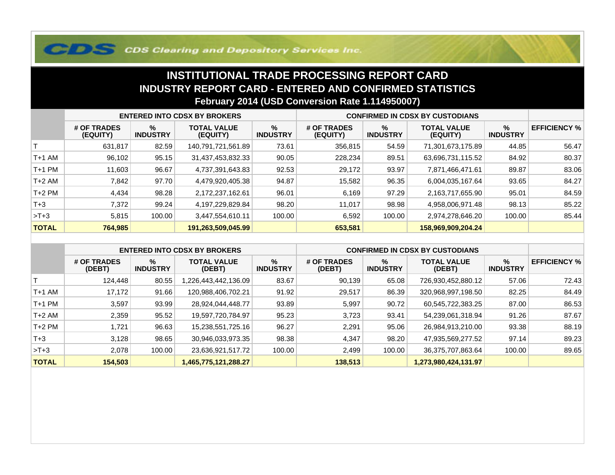## **COS Clearing and Depository Services Inc.**

## **INSTITUTIONAL TRADE PROCESSING REPORT CARD INDUSTRY REPORT CARD - ENTERED AND CONFIRMED STATISTICSFebruary 2014 (USD Conversion Rate 1.114950007)**

|              | <b>ENTERED INTO CDSX BY BROKERS</b> |                         |                                |                         | <b>CONFIRMED IN CDSX BY CUSTODIANS</b> |                      |                                |                      |                     |
|--------------|-------------------------------------|-------------------------|--------------------------------|-------------------------|----------------------------------------|----------------------|--------------------------------|----------------------|---------------------|
|              | # OF TRADES<br>(EQUITY)             | $\%$<br><b>INDUSTRY</b> | <b>TOTAL VALUE</b><br>(EQUITY) | $\%$<br><b>INDUSTRY</b> | # OF TRADES<br>(EQUITY)                | %<br><b>INDUSTRY</b> | <b>TOTAL VALUE</b><br>(EQUITY) | %<br><b>INDUSTRY</b> | <b>EFFICIENCY %</b> |
|              | 631,817                             | 82.59                   | 140,791,721,561.89             | 73.61                   | 356,815                                | 54.59                | 71,301,673,175.89              | 44.85                | 56.47               |
| T+1 AM       | 96,102                              | 95.15                   | 31,437,453,832.33              | 90.05                   | 228,234                                | 89.51                | 63,696,731,115.52              | 84.92                | 80.37               |
| T+1 PM       | 11,603                              | 96.67                   | 4,737,391,643.83               | 92.53                   | 29,172                                 | 93.97                | 7,871,466,471.61               | 89.87                | 83.06               |
| T+2 AM       | 7,842                               | 97.70                   | 4,479,920,405.38               | 94.87                   | 15,582                                 | 96.35                | 6,004,035,167.64               | 93.65                | 84.27               |
| $T+2$ PM     | 4,434                               | 98.28                   | 2,172,237,162.61               | 96.01                   | 6,169                                  | 97.29                | 2,163,717,655.90               | 95.01                | 84.59               |
| $T+3$        | 7,372                               | 99.24                   | 4,197,229,829.84               | 98.20                   | 11,017                                 | 98.98                | 4,958,006,971.48               | 98.13                | 85.22               |
| $>T+3$       | 5,815                               | 100.00                  | 3,447,554,610.11               | 100.00                  | 6,592                                  | 100.00               | 2,974,278,646.20               | 100.00               | 85.44               |
| <b>TOTAL</b> | 764,985                             |                         | 191,263,509,045.99             |                         | 653,581                                |                      | 158,969,909,204.24             |                      |                     |

|              | <b>ENTERED INTO CDSX BY BROKERS</b> |                         |                              |                         | <b>CONFIRMED IN CDSX BY CUSTODIANS</b> |                         |                              |                      |                     |
|--------------|-------------------------------------|-------------------------|------------------------------|-------------------------|----------------------------------------|-------------------------|------------------------------|----------------------|---------------------|
|              | # OF TRADES<br>(DEBT)               | $\%$<br><b>INDUSTRY</b> | <b>TOTAL VALUE</b><br>(DEBT) | $\%$<br><b>INDUSTRY</b> | # OF TRADES<br>(DEBT)                  | $\%$<br><b>INDUSTRY</b> | <b>TOTAL VALUE</b><br>(DEBT) | %<br><b>INDUSTRY</b> | <b>EFFICIENCY %</b> |
|              | 124.448                             | 80.55                   | 1,226,443,442,136.09         | 83.67                   | 90,139                                 | 65.08                   | 726,930,452,880.12           | 57.06                | 72.43               |
| $T+1$ AM     | 17.172                              | 91.66                   | 120,988,406,702.21           | 91.92                   | 29,517                                 | 86.39                   | 320,968,997,198.50           | 82.25                | 84.49               |
| $T+1$ PM     | 3,597                               | 93.99                   | 28,924,044,448.77            | 93.89                   | 5,997                                  | 90.72                   | 60,545,722,383.25            | 87.00                | 86.53               |
| $T+2$ AM     | 2,359                               | 95.52                   | 19,597,720,784.97            | 95.23                   | 3,723                                  | 93.41                   | 54,239,061,318.94            | 91.26                | 87.67               |
| $T+2$ PM     | 1.721                               | 96.63                   | 15,238,551,725.16            | 96.27                   | 2,291                                  | 95.06                   | 26,984,913,210.00            | 93.38                | 88.19               |
| $T + 3$      | 3,128                               | 98.65                   | 30,946,033,973.35            | 98.38                   | 4.347                                  | 98.20                   | 47,935,569,277.52            | 97.14                | 89.23               |
| $>T+3$       | 2,078                               | 100.00                  | 23,636,921,517.72            | 100.00                  | 2,499                                  | 100.00                  | 36,375,707,863.64            | 100.00               | 89.65               |
| <b>TOTAL</b> | 154,503                             |                         | 1,465,775,121,288.27         |                         | 138,513                                |                         | 1,273,980,424,131.97         |                      |                     |